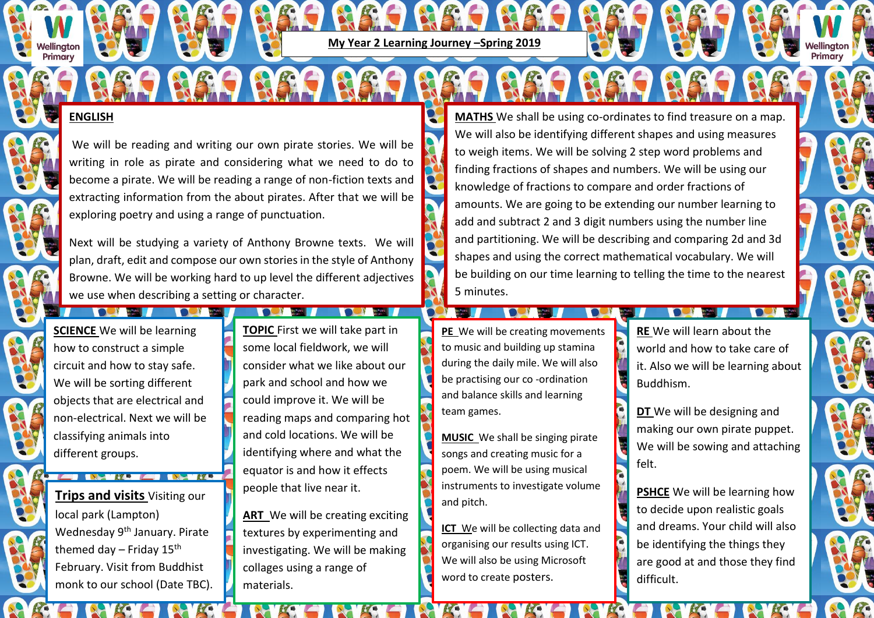**My Year 2 Learning Journey –Spring 2019**

## **ENGLISH**

ellinaton Primary

> We will be reading and writing our own pirate stories. We will be writing in role as pirate and considering what we need to do to become a pirate. We will be reading a range of non-fiction texts and extracting information from the about pirates. After that we will be exploring poetry and using a range of punctuation.

> Next will be studying a variety of Anthony Browne texts. We will plan, draft, edit and compose our own stories in the style of Anthony Browne. We will be working hard to up level the different adjectives we use when describing a setting or character.

**ENCE** We will be learning **TOPIC** First we will take part in how to construct a simple **SCIENCE** We will be learning circuit and how to stay safe. We will be sorting different objects that are electrical and non-electrical. Next we will be classifying animals into different groups.

**THE STATE OF STATE OF STATE OF STATE OF STATE OF STATE OF STATE OF STATE OF STATE OF STATE OF STATE OF STATE** 

**Trips and visits** Visiting our local park (Lampton) Wednesday 9<sup>th</sup> January. Pirate themed day – Friday  $15<sup>th</sup>$ February. Visit from Buddhist monk to our school (Date TBC).

**All Services Books** 

**The Community of the Community of the Community of the Community of the Community of the Community of the Community** 

some local fieldwork, we will consider what we like about our park and school and how we could improve it. We will be reading maps and comparing hot and cold locations. We will be identifying where and what the equator is and how it effects people that live near it.

**ART** We will be creating exciting textures by experimenting and investigating. We will be making collages using a range of materials.

**MATHS** We shall be using co-ordinates to find treasure on a map. We will also be identifying different shapes and using measures to weigh items. We will be solving 2 step word problems and finding fractions of shapes and numbers. We will be using our knowledge of fractions to compare and order fractions of amounts. We are going to be extending our number learning to add and subtract 2 and 3 digit numbers using the number line and partitioning. We will be describing and comparing 2d and 3d shapes and using the correct mathematical vocabulary. We will be building on our time learning to telling the time to the nearest 5 minutes.

**PE** We will be creating movements to music and building up stamina during the daily mile. We will also be practising our co -ordination and balance skills and learning team games.

**The Contract of Contract of Contract of Contract of Contract of Contract of Contract of Contract of Contract o** 

**MUSIC** We shall be singing pirate songs and creating music for a poem. We will be using musical instruments to investigate volume and pitch.

**ICT** We will be collecting data and organising our results using ICT. We will also be using Microsoft word to create posters.

**RE** We will learn about the world and how to take care of it. Also we will be learning about Buddhism.

**DT** We will be designing and making our own pirate puppet. We will be sowing and attaching felt.

**PSHCE** We will be learning how to decide upon realistic goals and dreams. Your child will also be identifying the things they are good at and those they find difficult.